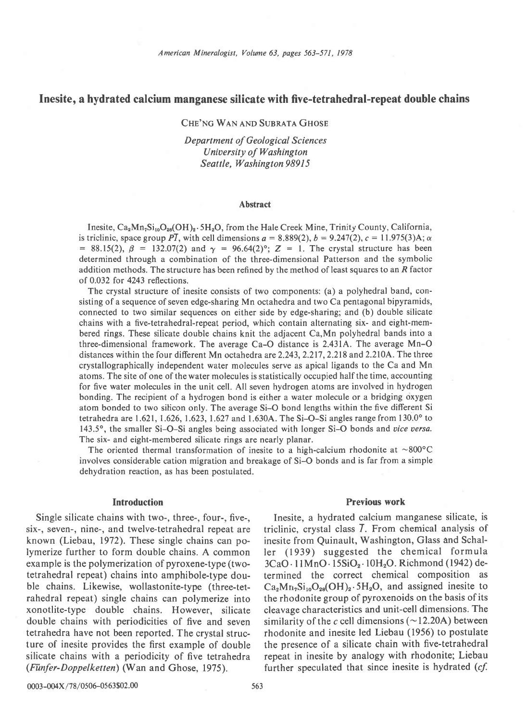# Inesite, a hydrated calcium manganese silicate with five-tetrahedral-repeat double chains

## CHE'NG WAN AND SUBRATA GHOSE

Department of Geological Sciences University of Washington Seattle, Washington 98915

#### Abstract

Inesite,  $Ca_2Mn_7Si_{10}O_{28}(OH)_2.5H_2O$ , from the Hale Creek Mine, Trinity County, California, is triclinic, space group PT, with cell dimensions  $a = 8.889(2)$ ,  $b = 9.247(2)$ ,  $c = 11.975(3)$ A;  $\alpha$ = 88.15(2),  $\beta$  = 132.07(2) and  $\gamma$  = 96.64(2)°; Z = 1. The crystal structure has been determined through a combination of the three-dimensional Patterson and the symbolic addition methods. The structure has been refined by the method of least squares to an  $R$  factor of 0.032 for 4243 reflections.

The crystal structure of inesite consists of two components: (a) a polyhedral band, consisting of a sequence of seven edge-sharing Mn octahedra and two Ca pentagonal bipyramids, connected to two similar sequences on either side by edge-sharing; and (b) double silicate chains with a five-tetrahedral-repeat period, which contain alternating six- and eight-membered rings. These silicate double chains knit the adjacent Ca,Mn polyhedral bands into a three-dimensional framework. The average Ca-O distance is 2.431A. The average Mn-O distances within the four different Mn octahedra are 2.243, 2.217, 2.218 and 2.210A. The three crystallographically independent water molecules serve as apical ligands to the Ca and Mn atoms. The site of one of the water molecules is statistically occupied half the time, accounting for five water molecules in the unit cell. All seven hydrogen atoms are involved in hydrogen bonding. The recipient of a hydrogen bond is either a water molecule or a bridging oxygen atom bonded to two sihcon only. The average Si-O bond lengths within the five different Si tetrahedra are 1.621, 1.626, 1.623, 1.627 and 1.630A. The Si-O-Si angles range from  $130.0^{\circ}$  to 143.5°, the smaller Si-O-Si angles being associated with longer Si-O bonds and vice versa. The six- and eight-membered silicate rings are nearly planar.

The oriented thermal transformation of inesite to a high-calcium rhodonite at  $\sim 800^{\circ}$ C involves considerable cation migration and breakage of Si-O bonds and is far from a simple dehydration reaction, as has been postulated.

#### Introduction

Single silicate chains with two-, three-, four-, five-, six-, seven-, nine-, and twelve-tetrahedral repeat are known (Liebau, 1972). These single chains can polymerize further to form double chains. A common example is the polymerization of pyroxene-type (twotetrahedral repeat) chains into amphibole-type double chains. Likewise, wollastonite-type (three-tetrahedral repeat) single chains can polymerize into xonotlite-type double chains. However, silicate double chains with periodicities of five and seven tetrahedra have not been reported. The crystal structure of inesite provides the first example of double silicate chains with a periodicity of five tetrahedra (Fünfer-Doppelketten) (Wan and Ghose, 1975).

### Previous work

Inesite, a hydrated calcium manganese silicate, is triclinic, crystal class 7. From chemical analysis of inesite from Quinault, Washington, Glass and Schaller (1939) suggested the chemical formula  $3CaO \cdot 11MnO \cdot 15SiO_2 \cdot 10H_2O$ . Richmond (1942) determined the correct chemical composition as  $Ca<sub>2</sub>Mn<sub>7</sub>Si<sub>10</sub>O<sub>28</sub>(OH)<sub>2</sub>·5H<sub>2</sub>O$ , and assigned inesite to the rhodonite group of pyroxenoids on the basis of its cleavage characteristics and unit-cell dimensions. The similarity of the c cell dimensions ( $\sim$  12.20A) between rhodonite and inesite led Liebau (1956) to postulate the presence of a silicate chain with five-tetrahedral repeat in inesite by analogy with rhodonite; Liebau further speculated that since inesite is hydrated  $(cf.$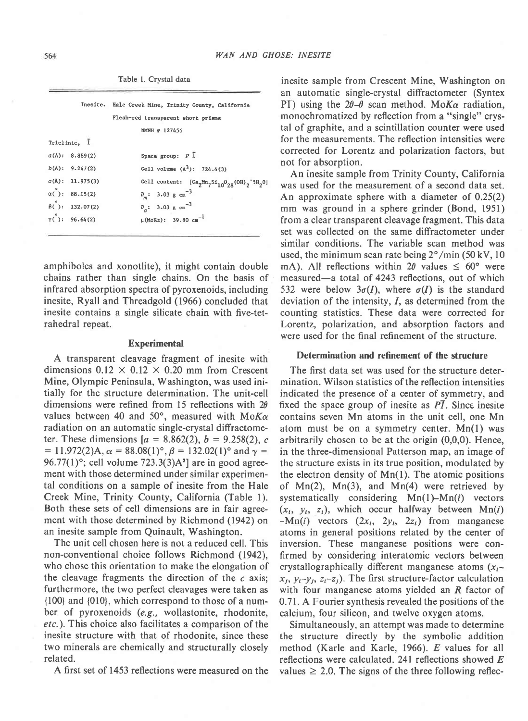Table l. Crystal data

|                                  | Inesite. Hale Creek Mine, Trinity County, California |
|----------------------------------|------------------------------------------------------|
|                                  | Flesh-red transparent short prisms                   |
|                                  | NMNH # 127455                                        |
| Triclinic, 1                     |                                                      |
| a(A): 8.889(2)                   | Space group: $P\bar{1}$                              |
| b(A): 9.247(2)                   | Cell volume $(A^3)$ : 724.4(3)                       |
| c(A): 11.975(3)                  | Cell content: $[Ca2Mn7Si10O2R(OH)2^5H2O]$            |
| $\alpha()$ : 88.15(2)            | $D_m$ : 3.03 g cm <sup>-3</sup>                      |
| $\beta$ ( $\hat{B}$ ): 132.07(2) | $D_{\alpha}$ : 3.03 g cm <sup>-3</sup>               |
| $Y($ ): 96.64(2)                 | μ (ΜοΚα): 39.80 cm <sup>-1</sup>                     |
|                                  |                                                      |

amphiboles and xonotlite), it might contain double chains rather than single chains. On the basis of infrared absorption spectra of pyroxenoids, including inesite, Ryall and Threadgold (1966) concluded that inesite contains a single silicate chain with five-tetrahedral repeat.

### Experimental

A transparent cleavage fragment of inesite with dimensions  $0.12 \times 0.12 \times 0.20$  mm from Crescent Mine, Olympic Peninsula, Washington, was used initially for the structure determination. The unit-cell dimensions were refined from 15 reflections with  $2\theta$ values between 40 and 50°, measured with  $M\alpha K\alpha$ radiation on an automatic single-crystal diffractometer. These dimensions  $a = 8.862(2), b = 9.258(2), c$  $= 11.972(2)$ A,  $\alpha = 88.08(1)$ °,  $\beta = 132.02(1)$ ° and  $\gamma =$ 96.77(1)°; cell volume  $723.3(3)$ A<sup>3</sup>] are in good agreement with those determined under similar experimental conditions on a sample of inesite from the Hale Creek Mine, Trinity County, California (Table l). Both these sets of cell dimensions are in fair agreement with those determined by Richmond (1942) on an inesite sample from Quinault, Washington.

The unit cell chosen here is not a reduced cell. This non-conventional choice follows Richmond (1942), who chose this orientation to make the elongation of the cleavage fragments the direction of the  $c$  axis; furthermore, the two perfect cleavages were taken as {100} and {010}, which correspond to those of a number of pyroxenoids (e.g., wollastonite, rhodonite, etc.). This choice also facilitates a comparison of the inesite structure with that of rhodonite, since these two minerals are chemically and structurally closely related.

A first set of 1453 reflections were measured on the

inesite sample from Crescent Mine, Washington on an automatic single-crystal diffractometer (Syntex PI) using the  $2\theta-\theta$  scan method. MoKa radiation, monochromatized by reflection from a "single" crystal of graphite, and a scintillation counter were used for the measurements. The reflection intensities were corrected for Lorentz and polarization factors, but not for absorption.

An inesite sample from Trinity County, California was used for the measurement of a second data set. An approximate sphere with a diameter of 0.25(2) mm was ground in a sphere grinder (Bond, l95l) from a clear transparent cleavage fragment. This data set was collected on the same diffractometer under similar conditions. The variable scan method was used, the minimum scan rate being  $2^{\circ}/\text{min}$  (50 kV, 10) mA). All reflections within  $2\theta$  values  $\leq 60^{\circ}$  were measured-a total of 4243 reflections, out of which 532 were below  $3\sigma(I)$ , where  $\sigma(I)$  is the standard deviation of the intensity, 1, as determined from the counting statistics. These data were corrected for Lorentz, polarization, and absorption factors and were used for the final refinement of the structure.

### Determination and refinement of the structure

The first data set was used for the structure determination. Wilson statistics of the reflection intensities indicated the presence of a center of symmetry, and fixed the space group of inesite as  $\overline{PI}$ . Since inesite contains seven Mn atoms in the unit cell, one Mn atom must be on a symmetry center. Mn(l) was arbitrarily chosen to be at the origin (0,0,0). Hence, in the three-dimensional Patterson map, an image of the structure exists in its true position, modulated by the electron density of  $Mn(1)$ . The atomic positions of  $Mn(2)$ ,  $Mn(3)$ , and  $Mn(4)$  were retrieved by systematically considering  $Mn(1)-Mn(i)$  vectors  $(x_i, y_i, z_i)$ , which occur halfway between Mn(i)  $-Mn(i)$  vectors  $(2x_i, 2y_i, 2z_i)$  from manganese atoms in general positions related by the center of inversion. These manganese positions were confirmed by considering interatomic vectors between crystallographically different manganese atoms  $(x<sub>t</sub>$  $x_1, y_1-y_1, z_1-z_1$ . The first structure-factor calculation with four manganese atoms yielded an R factor of 0.7l A Fourier synthesis revealed the positions of the calcium, four silicon, and twelve oxygen atoms.

Simultaneously, an attempt was made to determine the structure directly by the symbolic addition method (Karle and Karle, 1966). E values for all reflections were calculated. 241 reflections showed  $E$ values  $\geq 2.0$ . The signs of the three following reflec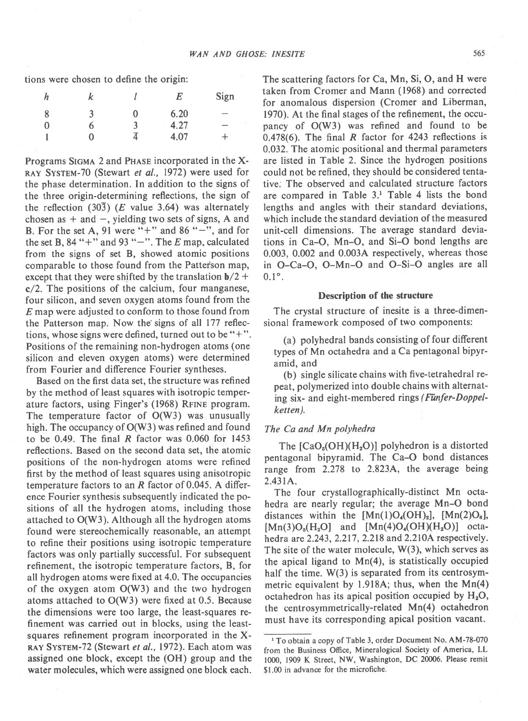tions were chosen to define the origin:

| n | k |    | E    | Sign            |
|---|---|----|------|-----------------|
| 8 |   | 0  | 6.20 | $-$             |
| 0 | h | ĥ. | 4.27 | $\qquad \qquad$ |
|   |   |    | 4.07 |                 |

Programs SIGMA 2 and PHASE incorporated in the X-RAY SYSTEM-70 (Stewart et al., 1972) were used for the phase determination. In addition to the signs of the three origin-determining reflections, the sign of the reflection  $(30\overline{3})$  (*E* value 3.64) was alternately chosen as  $+$  and  $-$ , yielding two sets of signs, A and B. For the set A, 91 were "+" and 86 "-", and for the set B, 84 "+" and 93 " $-$ ". The E map, calculated from the signs of set B, showed atomic positions comparable to those found from the Patter'son map, except that they were shifted by the translation  $b/2$  + c/2. The positions of the calcium, four manganese, four silicon, and seven oxygen atoms found from the E map were adjusted to conform to those found from the Patterson map. Now the'signs of all 177 reflections, whose signs were defined, turned out to be  $"$ +". Positions of the remaining non-hydrogen atoms (one silicon and eleven oxygen atoms) were determined from Fourier and difference Fourier syntheses.

Based on the first data set. the structure was refined by the method of least squares with isotropic temperature factors, using Finger's (1968) RFINE program. The temperature factor of O(W3) was unusually high. The occupancy of O(W3) was refined and found to be 0.49. The final  $R$  factor was 0.060 for 1453 reflections. Based on the second data set. the atomic positions of the non-hydrogen atoms were refined first by the method of least squares using anisotropic temperature factors to an  $R$  factor of 0.045. A difference Fourier synthesis subsequently indicated the positions of all the hydrogen atoms, including those attached to O(W3). Although all the hydrogen atoms found were stereochemically reasonable, an attempt to refine their positions using isotropic temperature factors was only partially successful. For subsequent refinement, the isotropic temperature factors, B, for all hydrogen atoms were fixed at 4.0. The occupancies of the oxygen atom O(W3) and the two hydrogen atoms attached to O(W3) were fixed at 0.5. Because the dimensions were too large, the least-squares refinement was carried out in blocks, using the leastsquares refinement program incorporated in the X-RAY SYSTEM-72 (Stewart et al., 1972). Each atom was assigned one block, except the (OH) group and the water molecules, which were assigned one block each. The scattering factors for Ca, Mn, Si, O, and H were taken from Cromer and Mann (1968) and corrected for anomalous dispersion (Cromer and Liberman, 1970). At the final stages of the refinement, the occupancy of O(W3) was refined and found to be 0.478(6). The final R factor for 4243 reflections is 0.032. The atomic positional and thermal parameters are listed in Table 2. Since the hydrogen positions could not be refined, they should be considered tentative; The observed and calculated structure factors are compared in Table 3.<sup>1</sup> Table 4 lists the bond lengths and angles with their standard deviations, which include the standard deviation of the measured unit-cell dimensions. The average standard deviations in Ca-O, Mn-O, and Si-O bond lengths are 0.003, 0.002 and 0.0034 respectively, whereas those in O-Ca-O, O-Mn-O and O-Si-O angles are all  $0.1^{\circ}$ .

#### Description of the structure

The crystal structure of inesite is a three-dimensional framework composed of two components:

(a) polyhedral bands consisting of four different types of Mn octahedra and a Ca pentagonal bipyramid, and

(b) single silicate chains with five-tetrahedral repeat, polymerized into double chains with alternating six- and eight-membered rings (Fünfer-Doppelketten).

#### The Ca and Mn polyhedra

The  $[CaO<sub>6</sub>(OH)(H<sub>2</sub>O)]$  polyhedron is a distorted pentagonal bipyramid. The Ca-O bond distances range from 2.278 to 2.823A, the average being 2.431A.

The four crystallographically-distinct Mn octahedra are nearly regular; the average Mn-O bond distances within the  $[Mn(1)O_4(OH)_2]$ ,  $[Mn(2)O_6]$ ,  $[{\rm Mn}(3)O_5(H_2O)]$  and  $[{\rm Mn}(4)O_4(OH)(H_2O)]$  octahedra are 2.243, 2.217, 2.218 and 2.210A respectively. The site of the water molecule, W(3), which serves as the apical ligand to Mn(4), is statistically occupied half the time.  $W(3)$  is separated from its centrosymmetric equivalent by l.9l8A; thus, when the Mn(4) octahedron has its apical position occupied by  $H_2O$ , the centrosymmetrically-related Mn(4) octahedron must have its corresponding apical position vacant.

<sup>&</sup>lt;sup>1</sup> To obtain a copy of Table 3, order Document No. AM-78-070 from the Business Office, Mineralogical Society of America, LL 1000, 1909 K Street, NW, Washington, DC 20006. Please remit \$1.00 in advance for the microfiche.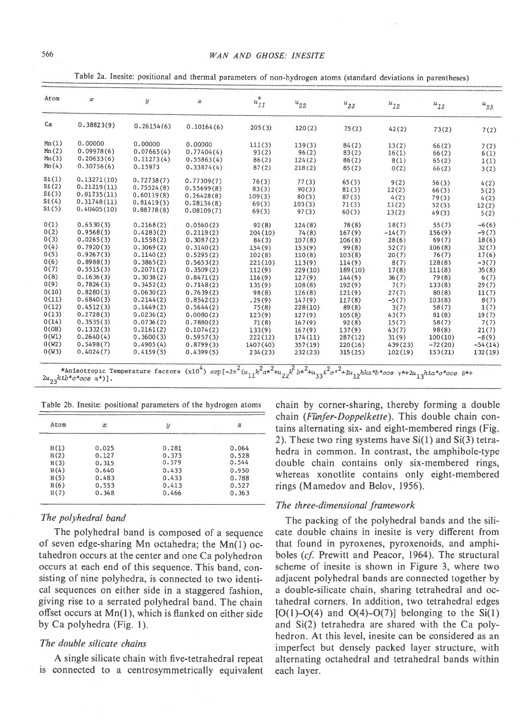#### WAN AND GHOSE: INESITE

Table 2a. Inesite: positional and thermal parameters of non-hydrogen atoms (standard deviations in parentheses)

| Atom                             | x                                                        | y                                      | $\rm z$                                | $u_{11}^*$                           | $u_{22}$                            | $u_{33}$                            | $u_{12}$                            | $u_{13}$                  | $u_{23}$                   |
|----------------------------------|----------------------------------------------------------|----------------------------------------|----------------------------------------|--------------------------------------|-------------------------------------|-------------------------------------|-------------------------------------|---------------------------|----------------------------|
| Ca                               | 0.38823(9)                                               | 0.26154(6)                             | 0.10164(6)                             | 205(3)                               | 120(2)                              | 75(2)                               | 42(2)                               | 73(2)                     | 7(2)                       |
| Mn(1)<br>Mn(2)<br>Mn(3)          | 0.00000<br>0.09978(6)<br>0.20633(6)                      | 0.00000<br>0.07665(4)<br>0.11273(4)    | 0.00000<br>0.77404(4)<br>0.55863(4)    | 111(3)<br>93(2)<br>86(2)             | 139(3)<br>96(2)<br>124(2)           | 84(2)<br>83(2)<br>86(2)             | 13(2)<br>16(1)<br>8(1)              | 66(2)<br>66(2)<br>65(2)   | 7(2)<br>6(1)<br>1(1)       |
| Mn(4)<br>$S_1(1)$                | 0.30756(6)<br>0.13271(10)                                | 0.15973<br>0.72738(7)                  | 0.33874(4)<br>0.77309(7)               | 87(2)<br>76(3)                       | 218(2)<br>77(3)                     | 85(2)<br>65(3)                      | 0(2)<br>9(2)                        | 66(2)<br>56(3)            | 3(2)<br>4(2)               |
| SL(2)<br>SL(3)<br>SL(4)<br>St(5) | 0.21219(11)<br>0.01735(11)<br>0.31748(11)<br>0.40405(10) | 0.75524(8)<br>0.60119(8)<br>0.81419(3) | 0.55699(8)<br>0.26428(8)<br>0.28134(8) | 83(3)<br>109(3)<br>69(3)             | 90(3)<br>80(3)<br>103(3)            | 81(3)<br>87(3)<br>71(3)             | 12(2)<br>4(2)<br>11(2)              | 66(3)<br>79(3)<br>52(3)   | 5(2)<br>4(2)<br>12(2)      |
| 0(1)<br>0(2)                     | 0.6530(3)<br>0.9568(3)                                   | 0.88778(8)<br>0.2168(2)<br>0.4283(2)   | 0.08109(7)<br>0.0560(2)<br>0.2119(2)   | 69(3)<br>92(8)                       | 97(3)<br>124(8)                     | 60(3)<br>78(8)                      | 13(2)<br>18(7)                      | 49(3)<br>55(7)<br>156(9)  | 5(2)<br>$-6(6)$<br>$-9(7)$ |
| 0(3)<br>0(4)<br>0(5)             | 0.0265(3)<br>0.7920(3)<br>0.9267(3)                      | 0.1558(2)<br>0.3069(2)<br>0.1140(2)    | 0.3087(2)<br>0.3140(2)<br>0.5295(2)    | 204(10)<br>84(3)<br>154(9)<br>102(8) | 74(8)<br>107(8)<br>153(9)<br>110(8) | 167(9)<br>106(8)<br>99(8)<br>103(8) | $-14(7)$<br>28(6)<br>52(7)<br>20(7) | 69(7)<br>106(8)<br>76(7)  | 18(6)<br>32(7)<br>17(6)    |
| 0(6)<br>0(7)<br>0(8)             | 0.8988(3)<br>0.5515(3)<br>0.1636(3)                      | 0.3865(2)<br>0.2071(2)<br>0.3038(2)    | 0.5653(2)<br>0.3509(2)<br>0.8471(2)    | 221(10)<br>112(9)<br>116(9)          | 113(9)<br>229(10)<br>127(9)         | 114(9)<br>189(10)<br>144(9)         | 8(7)<br>17(8)                       | 128(8)<br>111(8)<br>79(8) | $-3(7)$<br>35(8)<br>6(7)   |
| 0(9)<br>0(10)<br>0(11)           | 0.7826(3)<br>0.8280(3)<br>0.6840(3)                      | 0.3452(2)<br>0.0630(2)<br>0.2144(2)    | 0.7148(2)<br>0.7639(2)                 | 135(9)<br>98(8)                      | 108(8)<br>126(8)                    | 192(9)<br>121(9)                    | 36(7)<br>7(7)<br>27(7)              | 133(8)<br>80(8)           | 29(7)<br>11(7)             |
| 0(12)<br>0(13)                   | 0.4512(3)<br>0.2728(3)                                   | 0.1449(2)<br>0.0236(2)                 | 0.8542(2)<br>0.5644(2)<br>0.0080(2)    | .29(9)<br>75(8)<br>123(9)            | 147(9)<br>228(10)<br>127(9)         | 117(8)<br>89(8)<br>105(8)           | $-5(7)$<br>3(7)<br>43(7)            | 103(8)<br>58(7)<br>81(8)  | 8(7)<br>1(7)<br>19(7)      |
| 0(14)<br>O(OH)<br>0(W1)          | 0.3535(3)<br>0.1332(3)<br>0.2640(4)                      | 0.0736(2)<br>0.2161(2)<br>0.3600(3)    | 0.7880(2)<br>0.1074(2)<br>0.5957(3)    | 71(8)<br>133(9)<br>222(12)           | 167(9)<br>167(9)<br>174(11)         | 92(8)<br>137(9)<br>287(12)          | 15(7)<br>43(7)<br>31(9)             | 58(7)<br>98(8)<br>100(10) | 7(7)<br>21(7)<br>$-8(9)$   |
| 0(W2)<br>0(W3)                   | 0.5498(7)<br>0.4024(7)                                   | 0.4905(4)<br>0.4159(5)                 | 0.8799(3)<br>0.4399(5)                 | 1407(40)<br>234(23)                  | 357(19)<br>232(23)                  | 220(16)<br>315(25)                  | 439(23)<br>102(19)                  | $-72(20)$<br>153(21)      | $-54(14)$<br>132(19)       |

\*Anisotropic Temperature factors  $(x10^4)$   $exp[-2\pi^2(u_{11}h^2a*^2+u_{22}k^2b*^2+u_{33}\ell^2c*^2+2u_{12}hka*b*cos \gamma*+2u_{13}hka*c*cos \beta*+$ <br> $2u_{23}kkb*c*cos \alpha*)$ .

Table 2b. Inesite: positional parameters of the hydrogen atoms

|      |       |       | ÷     |
|------|-------|-------|-------|
| H(1) | 0.025 | 0.281 | 0.064 |
| H(2) | 0.127 | 0.373 | 0.528 |
| H(3) | 0.315 | 0.379 | 0.544 |
| H(4) | 0.640 | 0.433 | 0.950 |
| H(5) | 0.483 | 0.433 | 0.788 |
| H(6) | 0.553 | 0.413 | 0.527 |
| H(7) | 0.348 | 0.466 | 0.363 |

### The polyhedral band

The polyhedral band is composed of a sequence of seven edge-sharing Mn octahedra; the Mn(1) octahedron occurs at the center and one Ca polyhedron occurs at each end of this sequence. This band, consisting of nine polyhedra, is connected to two identical sequences on either side in a staggered fashion. giving rise to a serrated polyhedral band. The chain offset occurs at Mn(1), which is flanked on either side by Ca polyhedra (Fig. 1).

### The double silicate chains

A single silicate chain with five-tetrahedral repeat is connected to a centrosymmetrically equivalent

chain by corner-sharing, thereby forming a double chain (Fünfer-Doppelkette). This double chain contains alternating six- and eight-membered rings (Fig. 2). These two ring systems have  $Si(1)$  and  $Si(3)$  tetrahedra in common. In contrast, the amphibole-type double chain contains only six-membered rings, whereas xonotlite contains only eight-membered rings (Mamedov and Belov, 1956).

## The three-dimensional framework

The packing of the polyhedral bands and the silicate double chains in inesite is very different from that found in pyroxenes, pyroxenoids, and amphiboles (cf. Prewitt and Peacor, 1964). The structural scheme of inesite is shown in Figure 3, where two adjacent polyhedral bands are connected together by a double-silicate chain, sharing tetrahedral and octahedral corners. In addition, two tetrahedral edges  $[O(1)-O(4)$  and  $O(4)-O(7)]$  belonging to the Si(1) and Si(2) tetrahedra are shared with the Ca polyhedron. At this level, inesite can be considered as an imperfect but densely packed layer structure, with alternating octahedral and tetrahedral bands within each layer.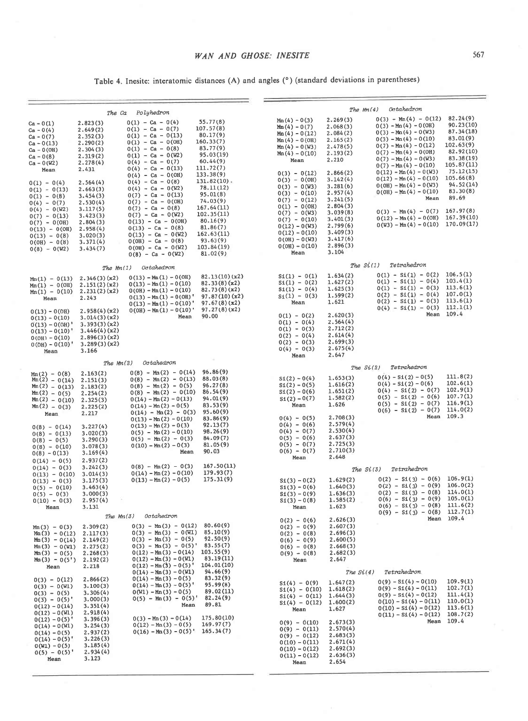Table 4. Inesite: interatomic distances (A) and angles (°) (standard deviations in parentheses)

| The Ca<br>Polyhedron                                                                                                                                                                                                                                                                                                 |                                                                                                                                                                                                                               |                                                                                                                                                                                                                                                                                                                                                                                                                                                                                                | Octahedron<br>The $Mn(4)$                                                                                                                                                                                                                                                |                                                                                                                                                                                                                                                                                                                                                                            |                                                                                                                                                                                                                                        |                                                                                                                                                                                                                                                                                                                                                                                                                 |                                                                                                                                                                                                          |
|----------------------------------------------------------------------------------------------------------------------------------------------------------------------------------------------------------------------------------------------------------------------------------------------------------------------|-------------------------------------------------------------------------------------------------------------------------------------------------------------------------------------------------------------------------------|------------------------------------------------------------------------------------------------------------------------------------------------------------------------------------------------------------------------------------------------------------------------------------------------------------------------------------------------------------------------------------------------------------------------------------------------------------------------------------------------|--------------------------------------------------------------------------------------------------------------------------------------------------------------------------------------------------------------------------------------------------------------------------|----------------------------------------------------------------------------------------------------------------------------------------------------------------------------------------------------------------------------------------------------------------------------------------------------------------------------------------------------------------------------|----------------------------------------------------------------------------------------------------------------------------------------------------------------------------------------------------------------------------------------|-----------------------------------------------------------------------------------------------------------------------------------------------------------------------------------------------------------------------------------------------------------------------------------------------------------------------------------------------------------------------------------------------------------------|----------------------------------------------------------------------------------------------------------------------------------------------------------------------------------------------------------|
| $Ca - 0(1)$<br>$Ca - 0(4)$<br>$Ca - 0(7)$<br>$Ca - 0(13)$<br>$Ca - 0(OH)$<br>$Ca - 0(8)$<br>$Ca - 0(W2)$<br>Mean<br>$0(1) - 0(4)$<br>$0(1) - 0(13)$<br>$0(1) - 0(8)$<br>$0(4) - 0(7)$<br>$0(4) - 0(W2)$<br>$0(7) - 0(13)$<br>$0(7) - 0(0H)$<br>$0(13) - 0(0H)$<br>$0(13) - 0(8)$<br>$0(0H) - 0(8)$<br>$0(8) - 0(W2)$ | 2.823(3)<br>2.649(2)<br>2.352(3)<br>2.290(2)<br>2.304(3)<br>2.319(2)<br>2.278(4)<br>2.431<br>2.564(4)<br>2.663(3)<br>3.454(3)<br>2.530(4)<br>3.117(5)<br>3.423(3)<br>2.804(3)<br>2.958(4)<br>3.020(3)<br>3.371(4)<br>3.434(7) | $0(1) - Ca - 0(4)$<br>$0(1) - Ca - 0(7)$<br>$0(1) - Ca - 0(13)$<br>$0(1)$ - Ca - $0(0H)$<br>$0(1) - Ca - 0(8)$<br>$0(1) - Ca - 0(W2)$<br>$0(4) - Ca - 0(7)$<br>$0(4)$ - Ca - 0(13)<br>$0(4)$ - Ca - 0(OH)<br>$0(4) - Ca - 0(8)$<br>$0(4) - Ca - 0(W2)$<br>$0(7) - Ca - 0(13)$<br>$0(7) - Ca - 0(0H)$<br>$0(7) - Ca - 0(8)$<br>$0(7) - Ca - 0(W2)$<br>$0(13) - Ca - 0(0H)$<br>$0(13) - Ca - 0(8)$<br>$0(13) - Ca - 0(W2)$<br>$0(0H) - Ca - 0(8)$<br>$0(0H) - Ca - 0(W2)$<br>$0(8) - Ca - 0(W2)$ | 55.77(8)<br>107.57(8)<br>80.17(9)<br>160.33(7)<br>83.77(9)<br>95.03(19)<br>60.44(9)<br>111.72(7)<br>133.38(9)<br>131.82(10)<br>78.11(12)<br>95.01(8)<br>74.03(9)<br>167.64(11)<br>102.35(11)<br>80.16(9)<br>81.86(7)<br>162.63(11)<br>93.63(9)<br>103.84(19)<br>81.02(9) | $M_{\rm D}(4) - 0(3)$<br>$Min(4) - 0(7)$<br>$M_{\text{m}}(4) - 0(12)$<br>$Mn(4) - 0(0H)$<br>$Mn(4) - 0(W3)$<br>$Mn(4) - 0(10)$<br>Mean<br>$0(3) - 0(12)$<br>$0(3) - 0(0H)$<br>$0(3) - 0(W3)$<br>$0(3) - 0(10)$<br>$0(7) - 0(12)$<br>$0(1) - 0(0H)$<br>$0(7) - 0(W3)$<br>$0(7) - 0(10)$<br>$0(12) - 0(W3)$<br>$0(12) - 0(10)$<br>$0(0H) - 0(W3)$<br>$0(0H) - 0(10)$<br>Mean | 2.269(3)<br>2.068(3)<br>2.084(2)<br>2.165(2)<br>2.478(5)<br>2.193(2)<br>2,210<br>2.866(2)<br>3.142(4)<br>3.281(6)<br>2.957(4)<br>3.241(5)<br>2.804(3)<br>3.039(8)<br>3.401(3)<br>2.799(6)<br>3.409(3)<br>3.417(6)<br>2.896(3)<br>3.104 | $0(3) - Mn(4) - 0(12)$<br>$0(3) - Mn(4) - 0(0H)$<br>$0(3) - Mn(4) - 0(W3)$<br>$0(3) - Mn(4) - 0(10)$<br>$0(7) - Mn(4) - 0(12)$<br>$0(7) - Mn(4) - 0(0H)$<br>$0(7) - Mn(4) - 0(W3)$<br>$0(7) - Mn(4) - 0(10)$<br>$0(12) - Mn(4) - 0(W3)$<br>$0(12) - Mn(4) - 0(10)$<br>$0(0H) - Mn(4) - 0(W3)$<br>$0(0H) - Mn(4) - 0(10)$<br>Mean<br>$0(3) - Mn(4) - 0(7)$<br>$0(12) - Mn(4) - 0(0H)$<br>$0(W3) - Mn(4) - 0(10)$ | 82.24(9)<br>90.23(10)<br>87.34(18)<br>83.01(9)<br>102.63(9)<br>82.92(10)<br>83.38(19)<br>105.87(11)<br>75.12(15)<br>105.66(8)<br>94.52(14)<br>83.30(8)<br>89.69<br>167.97(8)<br>167.39(10)<br>170.09(17) |
|                                                                                                                                                                                                                                                                                                                      | The $Mn(1)$                                                                                                                                                                                                                   | Octahedron                                                                                                                                                                                                                                                                                                                                                                                                                                                                                     |                                                                                                                                                                                                                                                                          |                                                                                                                                                                                                                                                                                                                                                                            | The $Si(1)$                                                                                                                                                                                                                            | Tetrahedron                                                                                                                                                                                                                                                                                                                                                                                                     |                                                                                                                                                                                                          |
| $Mn(1) - 0(13)$<br>$Mn(1) - O(OH)$<br>$Mn(1) - 0(10)$ 2.231(2)(x2)<br>Mean<br>$0(13) - 0(0H)$                                                                                                                                                                                                                        | 2.346(3)(x2)<br>2.151(2)(x2)<br>2.243<br>2.958(4)(x2)                                                                                                                                                                         | $0(13) - Mn(1) - 0(0H)$<br>$0(13) - Mn(1) - 0(10)$<br>$0(0H) - Mn(1) - 0(10)$<br>$0(13) - Mn(1) - 0(0H)'$<br>$0(13) - Mn(1) - 0(10)'$<br>$0(0H) - Mn(1) - 0(10)$                                                                                                                                                                                                                                                                                                                               | 82.13(10)(x2)<br>82.33(8)(x2)<br>82.73(8)(x2)<br>97.87(10)(x2)<br>97.67(8)(x2)<br>97.27(8)(x2)                                                                                                                                                                           | $S_1(1) - O(1)$<br>$Si(1) - O(2)$<br>$S_1(1) - O(4)$<br>$S_1(1) - 0(3)$<br>Mean                                                                                                                                                                                                                                                                                            | 1.634(2)<br>1.627(2)<br>1.625(3)<br>1.599(2)<br>1.621                                                                                                                                                                                  | $0(1) - Si(1) - 0(2)$<br>$0(1) - S1(1) - 0(4)$<br>$0(1) - S1(1) - 0(3)$<br>$0(2) - SL(1) - 0(4)$<br>$0(2) - \text{Si}(1) - 0(3)$<br>$0(4) - S1(1) - 0(3)$                                                                                                                                                                                                                                                       | 106.5(1)<br>103.4(1)<br>113.6(1)<br>107.0(1)<br>113.6(1)<br>112.1(1)<br>Mean 109.4                                                                                                                       |
| $0(13) - 0(10)$<br>$0(13) - 0(0H)$<br>$0(13) - 0(10)'$<br>$0(0H) - 0(10)$<br>$0(OH) - 0(10)'$<br>Mean                                                                                                                                                                                                                | 3.014(3)(x2)<br>3.393(3)(x2)<br>3.446(4)(x2)<br>2.896(3)(x2)<br>3.289(3)(x2)<br>3.166                                                                                                                                         | Mean                                                                                                                                                                                                                                                                                                                                                                                                                                                                                           | 90.00                                                                                                                                                                                                                                                                    | $0(1) - 0(2)$<br>$0(1) - 0(4)$<br>$0(1) - 0(3)$<br>$0(2) - 0(4)$<br>$0(2) - 0(3)$<br>$0(4) - 0(3)$<br>Mean                                                                                                                                                                                                                                                                 | 2.620(3)<br>2.564(4)<br>2.712(2)<br>2.614(4)<br>2.699(3)<br>2.675(4)<br>2.647                                                                                                                                                          |                                                                                                                                                                                                                                                                                                                                                                                                                 |                                                                                                                                                                                                          |
|                                                                                                                                                                                                                                                                                                                      | The $Mn(2)$                                                                                                                                                                                                                   | Octahedron                                                                                                                                                                                                                                                                                                                                                                                                                                                                                     |                                                                                                                                                                                                                                                                          |                                                                                                                                                                                                                                                                                                                                                                            | The $Si(2)$                                                                                                                                                                                                                            | Tetrahedron                                                                                                                                                                                                                                                                                                                                                                                                     |                                                                                                                                                                                                          |
| $Mn(2) - 0(8)$<br>$Mn(2) - 0(14)$<br>$Mm(2) - 0(13)$<br>$Mm(2) - 0(5)$<br>Mn(2) – 0(10)<br>$Mn(2) - 0(3)$<br>Mean                                                                                                                                                                                                    | 2.163(2)<br>2.151(3)<br>2.183(2)<br>2,254(2)<br>2.325(3)<br>2.225(2)<br>2.217                                                                                                                                                 | $0(8) - Mn(2) - 0(14)$<br>$0(8) - Mn(2) - 0(13)$<br>$0(8) - Mn(2) - 0(5)$<br>$0(8) - \text{Mn}(2) - 0(10)$<br>$0(14) - Mn(2) - 0(13)$<br>$0(14) - Mn(2) - 0(5)$<br>$0(14) - Mn(2) - 0(3)$<br>$0(13) - Mn(2) - 0(10)$                                                                                                                                                                                                                                                                           | 96.86(9)<br>88.03(8)<br>96.27(8)<br>86.54(9)<br>94.01(9)<br>83.53(9)<br>95.60(9)<br>83.86(9)                                                                                                                                                                             | $St(2) - O(4)$<br>$St(2) - O(5)$<br>$St(2) - O(6)$<br>$S_1(2) - O(7)$<br>Mean<br>$0(4) - 0(5)$                                                                                                                                                                                                                                                                             | 1.653(3)<br>1.616(2)<br>1.651(2)<br>1.582(2)<br>1.626<br>2.708(3)                                                                                                                                                                      | $0(4) - 51(2) - 0(5)$<br>$0(4) - S1(2) - 0(6)$<br>$0(4) - Si(2) - 0(7)$<br>$0(5) - S1(2) - 0(6)$<br>$0(5) - S1(2) - 0(7)$<br>$0(6) - Si(2) - 0(7)$                                                                                                                                                                                                                                                              | 111.8(2)<br>102.6(1)<br>102.9(1)<br>107.7(1)<br>116.9(1)<br>114.0(2)<br>Mean 109.3                                                                                                                       |
| $0(8) - 0(14)$<br>$0(8) - 0(13)$<br>$0(8) - 0(5)$<br>$0(8) - 0(10)$<br>$0(8) - 0(13)$<br>$0(14) - 0(5)$                                                                                                                                                                                                              | 3.227(4)<br>3.020(3)<br>3.290(3)<br>3.078(3)<br>3.169(4)<br>2.937(2)                                                                                                                                                          | $0(13) - Mn(2) - 0(3)$<br>$0(5) - Mn(2) - 0(10)$<br>$0(5) - Mn(2) - 0(3)$<br>$0(10) - Mn(2) - 0(3)$<br>Mean                                                                                                                                                                                                                                                                                                                                                                                    | 92.13(7)<br>98.26(9)<br>84.09(7)<br>81.05(9)<br>90.03                                                                                                                                                                                                                    | $0(4) - 0(6)$<br>$0(4) - 0(7)$<br>$0(5) - 0(6)$<br>$0(5) - 0(7)$<br>$0(6) - 0(7)$<br>Mean                                                                                                                                                                                                                                                                                  | 2.579(4)<br>2.530(4)<br>2.637(3)<br>2.725(3)<br>2.710(3)<br>2.648                                                                                                                                                                      |                                                                                                                                                                                                                                                                                                                                                                                                                 |                                                                                                                                                                                                          |
| $0(14) - 0(3)$<br>$0(13) - 0(10)$                                                                                                                                                                                                                                                                                    | 3.242(3)<br>3.014(3)                                                                                                                                                                                                          | $0(8) - Mn(2) - 0(3)$<br>$0(14) - Mn(2) - 0(10)$                                                                                                                                                                                                                                                                                                                                                                                                                                               | 167.50(11)<br>179.93(7)                                                                                                                                                                                                                                                  |                                                                                                                                                                                                                                                                                                                                                                            | The $Si(3)$                                                                                                                                                                                                                            | Tetrahedron                                                                                                                                                                                                                                                                                                                                                                                                     |                                                                                                                                                                                                          |
| $0(13) - 0(3)$<br>$0(5) - 0(10)$<br>$0(5) - 0(3)$<br>$0(10) - 0(3)$<br>Mean                                                                                                                                                                                                                                          | 3.175(3)<br>3.463(4)<br>3,000(3)<br>2.957(4)<br>3.131                                                                                                                                                                         | $0(13) - Mn(2) - 0(5)$                                                                                                                                                                                                                                                                                                                                                                                                                                                                         | 175.31(9)                                                                                                                                                                                                                                                                | $SL(3) - O(2)$<br>$Si(3) - O(6)$<br>$SL(3) - O(9)$<br>$SL(3) - O(8)$<br>Mean                                                                                                                                                                                                                                                                                               | 1.629(2)<br>1.640(3)<br>1.636(3)<br>1.585(2)<br>1.623                                                                                                                                                                                  | $0(2) - 5i(3) - 0(6)$ 106.9(1)<br>$0(2) - S1(3) - 0(9) 106.0(2)$<br>$0(2) - S1(3) - 0(8)$<br>$0(6) - Si(3) - 0(9)$<br>$0(6) - S1(3) - 0(8)$ 111.6(2)<br>$0(9) - 51(3) - 0(8)$ 112.7(1)                                                                                                                                                                                                                          | 114.0(1)<br>105.0(1)                                                                                                                                                                                     |
| $Mn(3) - 0(3)$                                                                                                                                                                                                                                                                                                       | The $Mn(3)$<br>2.309(2)                                                                                                                                                                                                       | Octahedron<br>$0(3) - Mn(3) - 0(12) 80.60(9)$                                                                                                                                                                                                                                                                                                                                                                                                                                                  |                                                                                                                                                                                                                                                                          | $0(2) - 0(6)$<br>$0(2) - 0(9)$                                                                                                                                                                                                                                                                                                                                             | 2.626(3)<br>2.607(3)                                                                                                                                                                                                                   |                                                                                                                                                                                                                                                                                                                                                                                                                 | Mean 109.4                                                                                                                                                                                               |
| $Mn(3) - 0(12)$<br>Mm $(3) - 0(14)$<br>$Mn(3) - O(W1)$<br>Mm(3) – 0(5)<br>$Mn(3) - 0(5')$<br>Mean                                                                                                                                                                                                                    | 2.117(3)<br>2.149(2)<br>2.275(2)<br>2.268(3)<br>2.192(2)<br>2.218                                                                                                                                                             | $0(3) - Mn(3) - 0(WL)$<br>$0(3) - Mn(3) - 0(5)$<br>$0(3) - Mn(3) - 0(5)^T$<br>$0(12) - Mn(3) - 0(14)$<br>$0(12) - Mn(3) - 0(W1)$<br>$0(12) - Mn(3) - 0(5)$<br>$0(14) - Mn(3) - 0(W1)$                                                                                                                                                                                                                                                                                                          | 85.10(9)<br>92.50(9)<br>83.55(7)<br>103.55(9)<br>83.19(11)<br>104.01(10)<br>94.66(9)                                                                                                                                                                                     | $0(2) - 0(8)$<br>$0(6) - 0(9)$<br>$0(6) - 0(8)$<br>$0(9) - 0(8)$<br>Mean                                                                                                                                                                                                                                                                                                   | 2.696(3)<br>2.600(5)<br>2.668(3)<br>2.682(3)<br>2.647<br>The $Si(4)$                                                                                                                                                                   | Tetrahedron                                                                                                                                                                                                                                                                                                                                                                                                     |                                                                                                                                                                                                          |
| $0(3) - 0(12)$<br>$0(3) - 0(W1)$<br>$0(3) - 0(5)$<br>$0(3) - 0(5)'$<br>$0(12) - 0(14)$<br>$0(12) - 0(W1)$                                                                                                                                                                                                            | 2.866(2)<br>3.100(3)<br>3.306(4)<br>3.000(3)<br>3.351(4)<br>2.918(4)                                                                                                                                                          | $0(14) - Mn(3) - 0(5)$<br>$0(14) - Mn(3) - 0(5)'$<br>$0(W1) - Mn(3) - 0(5)$<br>$0(5) - Mn(3) - 0(5)$<br>Mean                                                                                                                                                                                                                                                                                                                                                                                   | 83.32(9)<br>95.99(8)<br>89.02(11)<br>82.24(9)<br>89.81                                                                                                                                                                                                                   | $S_1(4) - 0(9)$<br>$S1(4) - 0(10)$<br>$S_1(4) - O(11)$<br>$S1(4) - 0(12)$<br>Mean                                                                                                                                                                                                                                                                                          | 1.647(2)<br>1.618(2)<br>1.644(3)<br>1.600(2)<br>1.627                                                                                                                                                                                  | $0(9) - S1(4) - 0(10)$<br>$0(9) - S1(4) - 0(11)$<br>$0(9) - S1(4) - 0(12)$<br>$0(10) - S1(4) - 0(11)$<br>$0(10) - S1(4) - 0(12)$<br>$0(11) - S1(4) - 0(12)$                                                                                                                                                                                                                                                     | 109.9(1)<br>102.7(1)<br>111.4(1)<br>110.0(1)<br>113.6(1)<br>108.7(2)                                                                                                                                     |
| $0(12) - 0(5)$<br>$0(14) - 0(W1)$<br>$0(14) - 0(5)$<br>$0(14) - 0(5)$ <sup>*</sup><br>$0(W1) - 0(5)$<br>$0(5) - 0(5)'$<br>Mean                                                                                                                                                                                       | 3.396(3)<br>3.254(3)<br>2.937(2)<br>3.226(3)<br>3.185(4)<br>2.934(4)<br>3.123                                                                                                                                                 | $0(3) - Mn(3) - 0(14)$<br>$0(12) - Mn(3) - 0(5)$<br>$0(16) - Mn(3) - 0(5)'$                                                                                                                                                                                                                                                                                                                                                                                                                    | 175.80(10)<br>169.97(7)<br>165.34(7)                                                                                                                                                                                                                                     | $0(9) - 0(10)$<br>$0(9) - 0(11)$<br>$0(9) - 0(12)$<br>$0(10) - 0(11)$<br>$0(10) - 0(12)$<br>$0(11) - 0(12)$<br>Mean                                                                                                                                                                                                                                                        | 2.673(3)<br>2.570(4)<br>2.683(3)<br>2.671(4)<br>2.692(3)<br>2.636(3)<br>2.654                                                                                                                                                          |                                                                                                                                                                                                                                                                                                                                                                                                                 | Mean 109.4                                                                                                                                                                                               |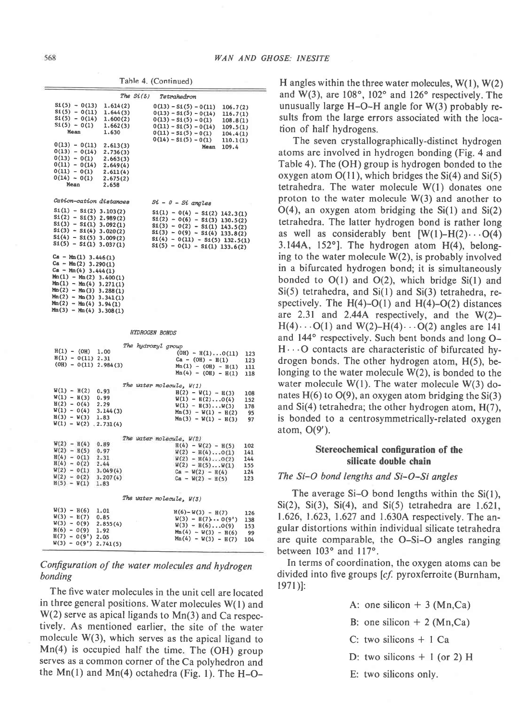Table 4. (Continued)

| The $Si(5)$<br>Tetrahedron<br>$S1(5) - 0(13)$<br>1.614(2)<br>$0(13) - S1(5) - 0(11)$<br>106.7(2)<br>$51(5) - 0(11)$<br>1.644(3)<br>$0(13) - S_1(5) - 0(14)$<br>116.7(1)<br>$S1(5) - 0(14)$<br>1.600(2)<br>$0(13) - 5i(5) - 0(1)$<br>108.8(1)<br>$S1(5) - 0(1)$<br>1.662(3)<br>$0(11) - S1(5) - 0(14)$<br>109.5(1)<br>Mean<br>1.630<br>$0(11) - 51(5) - 0(1)$<br>104.4(1)<br>$0(14) - 51(5) - 0(1)$<br>110.1(1)<br>$0(13) - 0(11)$<br>2.613(3)<br>Mean<br>109.4<br>$0(13) - 0(14)$<br>2.736(3)<br>$0(13) - 0(1)$<br>2.663(3)<br>$0(11) - 0(14)$<br>2.649(4)<br>$0(11) - 0(1)$<br>2.611(4)<br>$0(14) - 0(1)$<br>2.675(2)<br>Mean<br>2.658<br>Cation-cation distances<br>$Si - 0 - Si$ angles<br>$S1(1) - S1(2) 3.103(2)$<br>$S1(1) - O(4) - S1(2) 142.3(1)$<br>$S1(2) - S1(3) 2.989(2)$<br>$$1(2) - 0(6) - $1(3) 130.5(2)$<br>$$1(3) - 0(2) - $1(1) 143.5(2)$<br>$S1(3) - S1(1) 3.092(1)$<br>$S1(3) - S1(4) 3.020(2)$<br>$S1(3) - O(9) - S1(4) 133.8(2)$<br>$S1(4) - O(11) - S1(5) 132.5(1)$<br>$S1(5) - O(1) - S1(1) 133.6(2)$<br>$S1(4) - S1(5) 3.009(2)$<br>$S1(5) - S1(1) 3.037(1)$<br>Ca - Mn(1) 3.446(1)<br>Ca - Mn(2) 3.290(1)<br>Ca - Mn(4) 3.444(1)<br>$Mn(1) - Mn(2)$ 3.400(1)<br>$Min(1) - Min(4)$ 3.271(1)<br>$Mn(2) - Mn(3)$ 3.288(1)<br>Mn(2) - Mn(3) 3.341(1)<br>Mn(2) - Mn(4) 3.94(1)<br>$Mn(3) - Mn(4)$ 3.308(1)<br><b>HYDROGEN BONDS</b><br>The hydroxyl group<br>$H(1) - (OH)$<br>1.00<br>$(OH) - H(1)O(11)$<br>123<br>$H(1) - O(11) 2.31$<br>$Ca - (OH) - H(1)$<br>123<br>$(OH) - O(11) 2.984(3)$<br>$Mn(1) - (OH) - H(1)$<br>111<br>$Mn(4) - (OH) - H(1)$<br>118<br>The water molecule, W(1)<br>$W(1) - H(2)$<br>0.93<br>$H(2) - W(1) - H(3)$<br>108<br>$W(1) - H(3)$<br>0.99<br>$W(1) - H(2)O(4)$<br>152<br>$H(2) - O(4)$<br>2.29<br>$W(1) - H(3) \dots W(3)$<br>Mn(3) - $W(1) - H(2)$<br>178<br>$W(1) - O(4)$<br>3.144(3)<br>95<br>$H(3) - W(3)$<br>1.83<br>$Mn(3) - W(1) - H(3)$<br>97<br>$W(1) - W(2)$ , 2.731(4)<br>The water molecule, W(2)<br>$W(2) - H(4)$<br>0.89<br>$H(4) - W(2) - H(5)$<br>102<br>$W(2) - H(5)$<br>0.97<br>$W(2) - H(4) \dots 0(1)$<br>141<br>$H(4) - O(1)$<br>2.31<br>$W(2) - H(4) \dots 0(2)$<br>144<br>$H(4) - O(2)$<br>2.44<br>$W(2) - H(5) \dots W(1)$<br>155<br>$W(2) - O(1)$<br>3.049(4)<br>$Ca - W(2) - H(4)$<br>124<br>$W(2) - O(2)$<br>3.207(4)<br>$Ca - W(2) - H(5)$<br>123<br>$H(5) - W(1)$<br>1.83<br>The water molecule, W(3)<br>$W(3) - H(6)$<br>1.01<br>$H(6)-W(3) - H(7)$<br>126<br>$W(3) - H(7)$<br>0.85<br>$W(3) - H(7) \cdots 0(9')$<br>138<br>$W(3) - 0(9)$<br>2.855(4)<br>$W(3) - H(6) \ldots 0(9)$<br>153<br>$H(6) - 0(9)$<br>1.92<br>$Mn(4) - W(3) - H(6)$<br>99<br>$H(7) - O(9')$ 2.05<br>$Mn(4) - W(3) - H(7)$<br>104<br>$W(3) - O(9^{\circ})$ 2.741(5) |  |  |
|---------------------------------------------------------------------------------------------------------------------------------------------------------------------------------------------------------------------------------------------------------------------------------------------------------------------------------------------------------------------------------------------------------------------------------------------------------------------------------------------------------------------------------------------------------------------------------------------------------------------------------------------------------------------------------------------------------------------------------------------------------------------------------------------------------------------------------------------------------------------------------------------------------------------------------------------------------------------------------------------------------------------------------------------------------------------------------------------------------------------------------------------------------------------------------------------------------------------------------------------------------------------------------------------------------------------------------------------------------------------------------------------------------------------------------------------------------------------------------------------------------------------------------------------------------------------------------------------------------------------------------------------------------------------------------------------------------------------------------------------------------------------------------------------------------------------------------------------------------------------------------------------------------------------------------------------------------------------------------------------------------------------------------------------------------------------------------------------------------------------------------------------------------------------------------------------------------------------------------------------------------------------------------------------------------------------------------------------------------------------------------------------------------------------------------------------------------------------------------------------------------------------------------------------------------------------------------------------------------------------------------------------------------------------------------------------------------------------------------|--|--|
|                                                                                                                                                                                                                                                                                                                                                                                                                                                                                                                                                                                                                                                                                                                                                                                                                                                                                                                                                                                                                                                                                                                                                                                                                                                                                                                                                                                                                                                                                                                                                                                                                                                                                                                                                                                                                                                                                                                                                                                                                                                                                                                                                                                                                                                                                                                                                                                                                                                                                                                                                                                                                                                                                                                                 |  |  |
|                                                                                                                                                                                                                                                                                                                                                                                                                                                                                                                                                                                                                                                                                                                                                                                                                                                                                                                                                                                                                                                                                                                                                                                                                                                                                                                                                                                                                                                                                                                                                                                                                                                                                                                                                                                                                                                                                                                                                                                                                                                                                                                                                                                                                                                                                                                                                                                                                                                                                                                                                                                                                                                                                                                                 |  |  |
|                                                                                                                                                                                                                                                                                                                                                                                                                                                                                                                                                                                                                                                                                                                                                                                                                                                                                                                                                                                                                                                                                                                                                                                                                                                                                                                                                                                                                                                                                                                                                                                                                                                                                                                                                                                                                                                                                                                                                                                                                                                                                                                                                                                                                                                                                                                                                                                                                                                                                                                                                                                                                                                                                                                                 |  |  |
|                                                                                                                                                                                                                                                                                                                                                                                                                                                                                                                                                                                                                                                                                                                                                                                                                                                                                                                                                                                                                                                                                                                                                                                                                                                                                                                                                                                                                                                                                                                                                                                                                                                                                                                                                                                                                                                                                                                                                                                                                                                                                                                                                                                                                                                                                                                                                                                                                                                                                                                                                                                                                                                                                                                                 |  |  |
|                                                                                                                                                                                                                                                                                                                                                                                                                                                                                                                                                                                                                                                                                                                                                                                                                                                                                                                                                                                                                                                                                                                                                                                                                                                                                                                                                                                                                                                                                                                                                                                                                                                                                                                                                                                                                                                                                                                                                                                                                                                                                                                                                                                                                                                                                                                                                                                                                                                                                                                                                                                                                                                                                                                                 |  |  |
|                                                                                                                                                                                                                                                                                                                                                                                                                                                                                                                                                                                                                                                                                                                                                                                                                                                                                                                                                                                                                                                                                                                                                                                                                                                                                                                                                                                                                                                                                                                                                                                                                                                                                                                                                                                                                                                                                                                                                                                                                                                                                                                                                                                                                                                                                                                                                                                                                                                                                                                                                                                                                                                                                                                                 |  |  |
|                                                                                                                                                                                                                                                                                                                                                                                                                                                                                                                                                                                                                                                                                                                                                                                                                                                                                                                                                                                                                                                                                                                                                                                                                                                                                                                                                                                                                                                                                                                                                                                                                                                                                                                                                                                                                                                                                                                                                                                                                                                                                                                                                                                                                                                                                                                                                                                                                                                                                                                                                                                                                                                                                                                                 |  |  |
|                                                                                                                                                                                                                                                                                                                                                                                                                                                                                                                                                                                                                                                                                                                                                                                                                                                                                                                                                                                                                                                                                                                                                                                                                                                                                                                                                                                                                                                                                                                                                                                                                                                                                                                                                                                                                                                                                                                                                                                                                                                                                                                                                                                                                                                                                                                                                                                                                                                                                                                                                                                                                                                                                                                                 |  |  |
|                                                                                                                                                                                                                                                                                                                                                                                                                                                                                                                                                                                                                                                                                                                                                                                                                                                                                                                                                                                                                                                                                                                                                                                                                                                                                                                                                                                                                                                                                                                                                                                                                                                                                                                                                                                                                                                                                                                                                                                                                                                                                                                                                                                                                                                                                                                                                                                                                                                                                                                                                                                                                                                                                                                                 |  |  |
|                                                                                                                                                                                                                                                                                                                                                                                                                                                                                                                                                                                                                                                                                                                                                                                                                                                                                                                                                                                                                                                                                                                                                                                                                                                                                                                                                                                                                                                                                                                                                                                                                                                                                                                                                                                                                                                                                                                                                                                                                                                                                                                                                                                                                                                                                                                                                                                                                                                                                                                                                                                                                                                                                                                                 |  |  |
|                                                                                                                                                                                                                                                                                                                                                                                                                                                                                                                                                                                                                                                                                                                                                                                                                                                                                                                                                                                                                                                                                                                                                                                                                                                                                                                                                                                                                                                                                                                                                                                                                                                                                                                                                                                                                                                                                                                                                                                                                                                                                                                                                                                                                                                                                                                                                                                                                                                                                                                                                                                                                                                                                                                                 |  |  |
|                                                                                                                                                                                                                                                                                                                                                                                                                                                                                                                                                                                                                                                                                                                                                                                                                                                                                                                                                                                                                                                                                                                                                                                                                                                                                                                                                                                                                                                                                                                                                                                                                                                                                                                                                                                                                                                                                                                                                                                                                                                                                                                                                                                                                                                                                                                                                                                                                                                                                                                                                                                                                                                                                                                                 |  |  |
|                                                                                                                                                                                                                                                                                                                                                                                                                                                                                                                                                                                                                                                                                                                                                                                                                                                                                                                                                                                                                                                                                                                                                                                                                                                                                                                                                                                                                                                                                                                                                                                                                                                                                                                                                                                                                                                                                                                                                                                                                                                                                                                                                                                                                                                                                                                                                                                                                                                                                                                                                                                                                                                                                                                                 |  |  |
|                                                                                                                                                                                                                                                                                                                                                                                                                                                                                                                                                                                                                                                                                                                                                                                                                                                                                                                                                                                                                                                                                                                                                                                                                                                                                                                                                                                                                                                                                                                                                                                                                                                                                                                                                                                                                                                                                                                                                                                                                                                                                                                                                                                                                                                                                                                                                                                                                                                                                                                                                                                                                                                                                                                                 |  |  |
|                                                                                                                                                                                                                                                                                                                                                                                                                                                                                                                                                                                                                                                                                                                                                                                                                                                                                                                                                                                                                                                                                                                                                                                                                                                                                                                                                                                                                                                                                                                                                                                                                                                                                                                                                                                                                                                                                                                                                                                                                                                                                                                                                                                                                                                                                                                                                                                                                                                                                                                                                                                                                                                                                                                                 |  |  |
|                                                                                                                                                                                                                                                                                                                                                                                                                                                                                                                                                                                                                                                                                                                                                                                                                                                                                                                                                                                                                                                                                                                                                                                                                                                                                                                                                                                                                                                                                                                                                                                                                                                                                                                                                                                                                                                                                                                                                                                                                                                                                                                                                                                                                                                                                                                                                                                                                                                                                                                                                                                                                                                                                                                                 |  |  |
|                                                                                                                                                                                                                                                                                                                                                                                                                                                                                                                                                                                                                                                                                                                                                                                                                                                                                                                                                                                                                                                                                                                                                                                                                                                                                                                                                                                                                                                                                                                                                                                                                                                                                                                                                                                                                                                                                                                                                                                                                                                                                                                                                                                                                                                                                                                                                                                                                                                                                                                                                                                                                                                                                                                                 |  |  |
|                                                                                                                                                                                                                                                                                                                                                                                                                                                                                                                                                                                                                                                                                                                                                                                                                                                                                                                                                                                                                                                                                                                                                                                                                                                                                                                                                                                                                                                                                                                                                                                                                                                                                                                                                                                                                                                                                                                                                                                                                                                                                                                                                                                                                                                                                                                                                                                                                                                                                                                                                                                                                                                                                                                                 |  |  |
|                                                                                                                                                                                                                                                                                                                                                                                                                                                                                                                                                                                                                                                                                                                                                                                                                                                                                                                                                                                                                                                                                                                                                                                                                                                                                                                                                                                                                                                                                                                                                                                                                                                                                                                                                                                                                                                                                                                                                                                                                                                                                                                                                                                                                                                                                                                                                                                                                                                                                                                                                                                                                                                                                                                                 |  |  |
|                                                                                                                                                                                                                                                                                                                                                                                                                                                                                                                                                                                                                                                                                                                                                                                                                                                                                                                                                                                                                                                                                                                                                                                                                                                                                                                                                                                                                                                                                                                                                                                                                                                                                                                                                                                                                                                                                                                                                                                                                                                                                                                                                                                                                                                                                                                                                                                                                                                                                                                                                                                                                                                                                                                                 |  |  |
|                                                                                                                                                                                                                                                                                                                                                                                                                                                                                                                                                                                                                                                                                                                                                                                                                                                                                                                                                                                                                                                                                                                                                                                                                                                                                                                                                                                                                                                                                                                                                                                                                                                                                                                                                                                                                                                                                                                                                                                                                                                                                                                                                                                                                                                                                                                                                                                                                                                                                                                                                                                                                                                                                                                                 |  |  |
|                                                                                                                                                                                                                                                                                                                                                                                                                                                                                                                                                                                                                                                                                                                                                                                                                                                                                                                                                                                                                                                                                                                                                                                                                                                                                                                                                                                                                                                                                                                                                                                                                                                                                                                                                                                                                                                                                                                                                                                                                                                                                                                                                                                                                                                                                                                                                                                                                                                                                                                                                                                                                                                                                                                                 |  |  |
|                                                                                                                                                                                                                                                                                                                                                                                                                                                                                                                                                                                                                                                                                                                                                                                                                                                                                                                                                                                                                                                                                                                                                                                                                                                                                                                                                                                                                                                                                                                                                                                                                                                                                                                                                                                                                                                                                                                                                                                                                                                                                                                                                                                                                                                                                                                                                                                                                                                                                                                                                                                                                                                                                                                                 |  |  |
|                                                                                                                                                                                                                                                                                                                                                                                                                                                                                                                                                                                                                                                                                                                                                                                                                                                                                                                                                                                                                                                                                                                                                                                                                                                                                                                                                                                                                                                                                                                                                                                                                                                                                                                                                                                                                                                                                                                                                                                                                                                                                                                                                                                                                                                                                                                                                                                                                                                                                                                                                                                                                                                                                                                                 |  |  |
|                                                                                                                                                                                                                                                                                                                                                                                                                                                                                                                                                                                                                                                                                                                                                                                                                                                                                                                                                                                                                                                                                                                                                                                                                                                                                                                                                                                                                                                                                                                                                                                                                                                                                                                                                                                                                                                                                                                                                                                                                                                                                                                                                                                                                                                                                                                                                                                                                                                                                                                                                                                                                                                                                                                                 |  |  |
|                                                                                                                                                                                                                                                                                                                                                                                                                                                                                                                                                                                                                                                                                                                                                                                                                                                                                                                                                                                                                                                                                                                                                                                                                                                                                                                                                                                                                                                                                                                                                                                                                                                                                                                                                                                                                                                                                                                                                                                                                                                                                                                                                                                                                                                                                                                                                                                                                                                                                                                                                                                                                                                                                                                                 |  |  |
|                                                                                                                                                                                                                                                                                                                                                                                                                                                                                                                                                                                                                                                                                                                                                                                                                                                                                                                                                                                                                                                                                                                                                                                                                                                                                                                                                                                                                                                                                                                                                                                                                                                                                                                                                                                                                                                                                                                                                                                                                                                                                                                                                                                                                                                                                                                                                                                                                                                                                                                                                                                                                                                                                                                                 |  |  |
|                                                                                                                                                                                                                                                                                                                                                                                                                                                                                                                                                                                                                                                                                                                                                                                                                                                                                                                                                                                                                                                                                                                                                                                                                                                                                                                                                                                                                                                                                                                                                                                                                                                                                                                                                                                                                                                                                                                                                                                                                                                                                                                                                                                                                                                                                                                                                                                                                                                                                                                                                                                                                                                                                                                                 |  |  |
|                                                                                                                                                                                                                                                                                                                                                                                                                                                                                                                                                                                                                                                                                                                                                                                                                                                                                                                                                                                                                                                                                                                                                                                                                                                                                                                                                                                                                                                                                                                                                                                                                                                                                                                                                                                                                                                                                                                                                                                                                                                                                                                                                                                                                                                                                                                                                                                                                                                                                                                                                                                                                                                                                                                                 |  |  |
|                                                                                                                                                                                                                                                                                                                                                                                                                                                                                                                                                                                                                                                                                                                                                                                                                                                                                                                                                                                                                                                                                                                                                                                                                                                                                                                                                                                                                                                                                                                                                                                                                                                                                                                                                                                                                                                                                                                                                                                                                                                                                                                                                                                                                                                                                                                                                                                                                                                                                                                                                                                                                                                                                                                                 |  |  |
|                                                                                                                                                                                                                                                                                                                                                                                                                                                                                                                                                                                                                                                                                                                                                                                                                                                                                                                                                                                                                                                                                                                                                                                                                                                                                                                                                                                                                                                                                                                                                                                                                                                                                                                                                                                                                                                                                                                                                                                                                                                                                                                                                                                                                                                                                                                                                                                                                                                                                                                                                                                                                                                                                                                                 |  |  |
|                                                                                                                                                                                                                                                                                                                                                                                                                                                                                                                                                                                                                                                                                                                                                                                                                                                                                                                                                                                                                                                                                                                                                                                                                                                                                                                                                                                                                                                                                                                                                                                                                                                                                                                                                                                                                                                                                                                                                                                                                                                                                                                                                                                                                                                                                                                                                                                                                                                                                                                                                                                                                                                                                                                                 |  |  |
|                                                                                                                                                                                                                                                                                                                                                                                                                                                                                                                                                                                                                                                                                                                                                                                                                                                                                                                                                                                                                                                                                                                                                                                                                                                                                                                                                                                                                                                                                                                                                                                                                                                                                                                                                                                                                                                                                                                                                                                                                                                                                                                                                                                                                                                                                                                                                                                                                                                                                                                                                                                                                                                                                                                                 |  |  |
|                                                                                                                                                                                                                                                                                                                                                                                                                                                                                                                                                                                                                                                                                                                                                                                                                                                                                                                                                                                                                                                                                                                                                                                                                                                                                                                                                                                                                                                                                                                                                                                                                                                                                                                                                                                                                                                                                                                                                                                                                                                                                                                                                                                                                                                                                                                                                                                                                                                                                                                                                                                                                                                                                                                                 |  |  |
|                                                                                                                                                                                                                                                                                                                                                                                                                                                                                                                                                                                                                                                                                                                                                                                                                                                                                                                                                                                                                                                                                                                                                                                                                                                                                                                                                                                                                                                                                                                                                                                                                                                                                                                                                                                                                                                                                                                                                                                                                                                                                                                                                                                                                                                                                                                                                                                                                                                                                                                                                                                                                                                                                                                                 |  |  |
|                                                                                                                                                                                                                                                                                                                                                                                                                                                                                                                                                                                                                                                                                                                                                                                                                                                                                                                                                                                                                                                                                                                                                                                                                                                                                                                                                                                                                                                                                                                                                                                                                                                                                                                                                                                                                                                                                                                                                                                                                                                                                                                                                                                                                                                                                                                                                                                                                                                                                                                                                                                                                                                                                                                                 |  |  |
|                                                                                                                                                                                                                                                                                                                                                                                                                                                                                                                                                                                                                                                                                                                                                                                                                                                                                                                                                                                                                                                                                                                                                                                                                                                                                                                                                                                                                                                                                                                                                                                                                                                                                                                                                                                                                                                                                                                                                                                                                                                                                                                                                                                                                                                                                                                                                                                                                                                                                                                                                                                                                                                                                                                                 |  |  |
|                                                                                                                                                                                                                                                                                                                                                                                                                                                                                                                                                                                                                                                                                                                                                                                                                                                                                                                                                                                                                                                                                                                                                                                                                                                                                                                                                                                                                                                                                                                                                                                                                                                                                                                                                                                                                                                                                                                                                                                                                                                                                                                                                                                                                                                                                                                                                                                                                                                                                                                                                                                                                                                                                                                                 |  |  |
|                                                                                                                                                                                                                                                                                                                                                                                                                                                                                                                                                                                                                                                                                                                                                                                                                                                                                                                                                                                                                                                                                                                                                                                                                                                                                                                                                                                                                                                                                                                                                                                                                                                                                                                                                                                                                                                                                                                                                                                                                                                                                                                                                                                                                                                                                                                                                                                                                                                                                                                                                                                                                                                                                                                                 |  |  |
|                                                                                                                                                                                                                                                                                                                                                                                                                                                                                                                                                                                                                                                                                                                                                                                                                                                                                                                                                                                                                                                                                                                                                                                                                                                                                                                                                                                                                                                                                                                                                                                                                                                                                                                                                                                                                                                                                                                                                                                                                                                                                                                                                                                                                                                                                                                                                                                                                                                                                                                                                                                                                                                                                                                                 |  |  |
|                                                                                                                                                                                                                                                                                                                                                                                                                                                                                                                                                                                                                                                                                                                                                                                                                                                                                                                                                                                                                                                                                                                                                                                                                                                                                                                                                                                                                                                                                                                                                                                                                                                                                                                                                                                                                                                                                                                                                                                                                                                                                                                                                                                                                                                                                                                                                                                                                                                                                                                                                                                                                                                                                                                                 |  |  |
|                                                                                                                                                                                                                                                                                                                                                                                                                                                                                                                                                                                                                                                                                                                                                                                                                                                                                                                                                                                                                                                                                                                                                                                                                                                                                                                                                                                                                                                                                                                                                                                                                                                                                                                                                                                                                                                                                                                                                                                                                                                                                                                                                                                                                                                                                                                                                                                                                                                                                                                                                                                                                                                                                                                                 |  |  |
|                                                                                                                                                                                                                                                                                                                                                                                                                                                                                                                                                                                                                                                                                                                                                                                                                                                                                                                                                                                                                                                                                                                                                                                                                                                                                                                                                                                                                                                                                                                                                                                                                                                                                                                                                                                                                                                                                                                                                                                                                                                                                                                                                                                                                                                                                                                                                                                                                                                                                                                                                                                                                                                                                                                                 |  |  |
|                                                                                                                                                                                                                                                                                                                                                                                                                                                                                                                                                                                                                                                                                                                                                                                                                                                                                                                                                                                                                                                                                                                                                                                                                                                                                                                                                                                                                                                                                                                                                                                                                                                                                                                                                                                                                                                                                                                                                                                                                                                                                                                                                                                                                                                                                                                                                                                                                                                                                                                                                                                                                                                                                                                                 |  |  |
|                                                                                                                                                                                                                                                                                                                                                                                                                                                                                                                                                                                                                                                                                                                                                                                                                                                                                                                                                                                                                                                                                                                                                                                                                                                                                                                                                                                                                                                                                                                                                                                                                                                                                                                                                                                                                                                                                                                                                                                                                                                                                                                                                                                                                                                                                                                                                                                                                                                                                                                                                                                                                                                                                                                                 |  |  |
|                                                                                                                                                                                                                                                                                                                                                                                                                                                                                                                                                                                                                                                                                                                                                                                                                                                                                                                                                                                                                                                                                                                                                                                                                                                                                                                                                                                                                                                                                                                                                                                                                                                                                                                                                                                                                                                                                                                                                                                                                                                                                                                                                                                                                                                                                                                                                                                                                                                                                                                                                                                                                                                                                                                                 |  |  |
|                                                                                                                                                                                                                                                                                                                                                                                                                                                                                                                                                                                                                                                                                                                                                                                                                                                                                                                                                                                                                                                                                                                                                                                                                                                                                                                                                                                                                                                                                                                                                                                                                                                                                                                                                                                                                                                                                                                                                                                                                                                                                                                                                                                                                                                                                                                                                                                                                                                                                                                                                                                                                                                                                                                                 |  |  |
|                                                                                                                                                                                                                                                                                                                                                                                                                                                                                                                                                                                                                                                                                                                                                                                                                                                                                                                                                                                                                                                                                                                                                                                                                                                                                                                                                                                                                                                                                                                                                                                                                                                                                                                                                                                                                                                                                                                                                                                                                                                                                                                                                                                                                                                                                                                                                                                                                                                                                                                                                                                                                                                                                                                                 |  |  |

# Configuration of the water molecules and hydrogen bonding

The five water molecules in the unit cell are located in three general positions. Water molecules W(1) and  $W(2)$  serve as apical ligands to  $Mn(3)$  and Ca respectively. As mentioned earlier, the site of the water molecule  $W(3)$ , which serves as the apical ligand to  $Mn(4)$  is occupied half the time. The  $(OH)$  group serves as a common corner of the Ca polyhedron and the Mn(1) and Mn(4) octahedra (Fig. 1). The H-O- H angles within the three water molecules,  $W(1)$ ,  $W(2)$ and  $W(3)$ , are 108°, 102° and 126° respectively. The unusually large H-O-H angle for W(3) probably results from the large errors associated with the location of half hydrogens.

The seven crystallographically-distinct hydrogen atoms are involved in hydrogen bonding (Fig. 4 and Table 4). The (OH) group is hydrogen bonded to the oxygen atom  $O(11)$ , which bridges the Si(4) and Si(5) tetrahedra. The water molecule W(1) donates one proton to the water molecule  $W(3)$  and another to  $O(4)$ , an oxygen atom bridging the Si(1) and Si(2) tetrahedra. The latter hydrogen bond is rather long as well as considerably bent  $[ W(1) - H(2) \cdots O(4) ]$ 3.144A,  $152^{\circ}$ ]. The hydrogen atom  $H(4)$ , belonging to the water molecule  $W(2)$ , is probably involved in a bifurcated hydrogen bond; it is simultaneously bonded to  $O(1)$  and  $O(2)$ , which bridge Si $(1)$  and  $Si(5)$  tetrahedra, and  $Si(1)$  and  $Si(3)$  tetrahedra, respectively. The  $H(4)-O(1)$  and  $H(4)-O(2)$  distances are 2.31 and 2.44A respectively, and the  $W(2)$ - $H(4) \cdots O(1)$  and W(2)– $H(4) \cdots O(2)$  angles are 141 and 144° respectively. Such bent bonds and long O-H. O contacts are characteristic of bifurcated hydrogen bonds. The other hydrogen atom, H(5), belonging to the water molecule  $W(2)$ , is bonded to the water molecule  $W(1)$ . The water molecule  $W(3)$  donates  $H(6)$  to  $O(9)$ , an oxygen atom bridging the Si(3) and  $Si(4)$  tetrahedra; the other hydrogen atom,  $H(7)$ , is bonded to a centrosymmetrically-related oxygen atom,  $O(9')$ .

# Stereochemical configuration of the silicate double chain

### The Si-O bond lengths and Si-O-Si angles

The average Si-O bond lengths within the  $Si(1)$ ,  $Si(2)$ ,  $Si(3)$ ,  $Si(4)$ , and  $Si(5)$  tetrahedra are 1.621, 1.626, 1.623, 1.627 and 1.630A respectively. The angular distortions within individual silicate tetrahedra are quite comparable, the O-Si-O angles ranging between 103° and 117°.

In terms of coordination, the oxygen atoms can be divided into five groups [cf. pyroxferroite (Burnham,  $1971$ ]:

A: one silicon  $+3$  (Mn,Ca)

- B: one silicon  $+2$  (Mn,Ca)
- C: two silicons  $+ 1$  Ca
- D: two silicons  $+ 1$  (or 2) H
- E: two silicons only.

Ė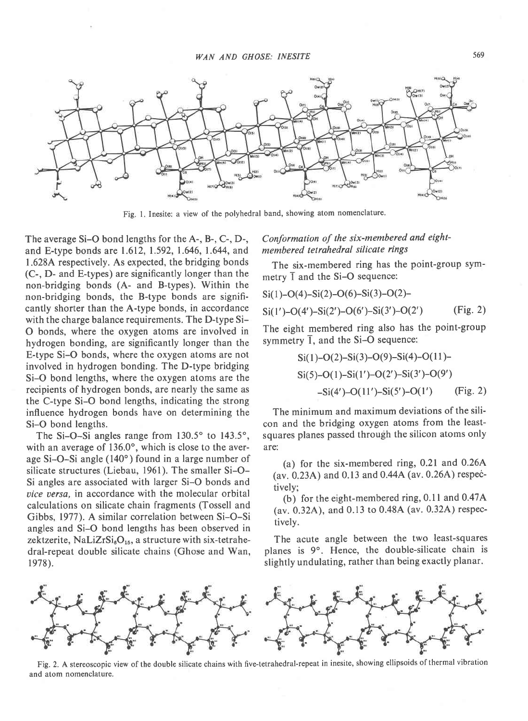

Fig. 1, Inesite: a view of the polyhedral band, showing atom nomenclature.

The average Si-O bond lengths for the A-, B-, C-, D-, and E-type bonds are 1.612, 1.592, 1.646, 1.644, and 1.628A respectively. As expected, the bridging bonds (C-, D- and E-types) are significantly longer than the non-bridging bonds (A- and B-types). Within the non-bridging bonds, the B-type bonds are significantly shorter than the A-type bonds, in accordance with the charge balance requirements. The D-type Si-O bonds, where the oxygen atoms are involved in hydrogen bonding, are significantly longer than the E-type Si-O bonds, where the oxygen atoms are not involved in hydrogen bonding. The D-type bridging Si-O bond lengths, where the oxygen atoms are the recipients of hydrogen bonds, are nearly the same as the C-type Si-O bond lengths, indicating the strong influence hydrogen bonds have on determining the Si-O bond lengths.

The Si-O-Si angles range from  $130.5^{\circ}$  to  $143.5^{\circ}$ , with an average of 136.0°, which is close to the average Si-O-Si angle (140") found in a large number of silicate structures (Liebau, 1961). The smaller Si-O-Si angles are associated with larger Si-O bonds and uice uersa. in accordance with the molecular orbital calculations on silicate chain fragments (Tossell and Gibbs, 1977). A similar correlation between Si-O-Si angles and Si-O bond lengths has been observed in zektzerite, NaLiZr $Si_6O_{15}$ , a structure with six-tetrahedral-repeat double silicate chains (Ghose and Wan, 1978).

# Conformation of the six-membered and eightmembered tetrahedral silicate rings

The six-membered ring has the point-group symmetry  $\bar{1}$  and the Si-O sequence:

$$
Si(1)-O(4)-Si(2)-O(6)-Si(3)-O(2)-\nSi(1')-O(4')-Si(2')-O(6')-Si(3')-O(2') (Fig. 2)
$$

The eight membered ring also has the point-group symmetry  $\overline{1}$ , and the Si-O sequence:

$$
Si(1)-O(2)-Si(3)-O(9)-Si(4)-O(11)-\nSi(5)-O(1)-Si(1')-O(2')-Si(3')-O(9')\n-Si(4')-O(11')-Si(5')-O(1') (Fig. 2)
$$

The minimum and maximum deviations of the silicon and the bridging oxygen atoms from the leastsquares planes passed through the silicon atoms only are:

(a) for the six-membered ring, 0.21 and 0.26A (av.  $0.23A$ ) and  $0.13$  and  $0.44A$  (av.  $0.26A$ ) respectively;

(b) for the eight-membered ring,  $0.11$  and  $0.47A$ (av. 0.32A), and 0.13 to 0.48A (av. 0.32A) respectively.

The acute angle between the two least-squares planes is 9°. Hence, the double-silicate chain is slightly undulating, rather than being exactly planar.



Fig. 2. A stereoscopic view of the double silicate chains with five-tetrahedral-repeat in inesite, showing ellipsoids of thermal vibration and atom nomenclature.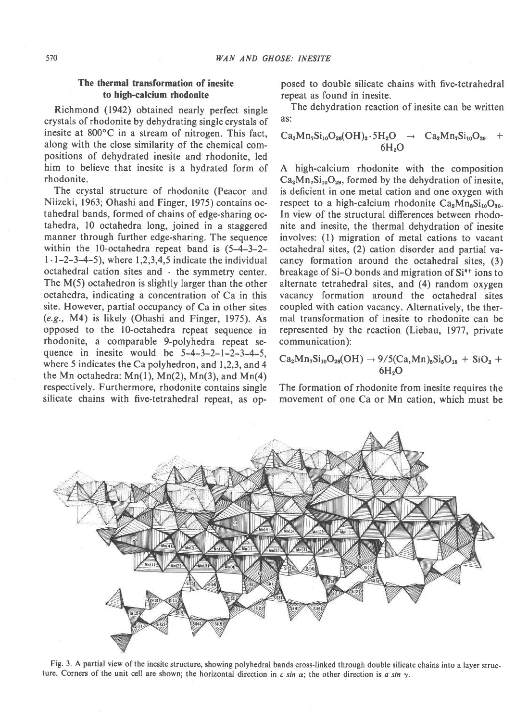# The thermal transformation of inesite to high-calcium rhodonite

Richmond (1942) obtained nearly perfect single crystals of rhodonite by dehydrating single crystals of inesite at  $800^{\circ}$ C in a stream of nitrogen. This fact, along with the close similarity of the chemical compositions of dehydrated inesite and rhodonite, led him to believe that inesite is a hydrated form of rhodonite.

The crystal structure of rhodonite (Peacor and Niizeki, 1963; Ohashi and Finger, 1975) contains octahedral bands, formed of chains of edge-sharing octahedra, l0 octahedra long, joined in a staggered manner through further edge-sharing. The sequence within the l0-octahedra repeat band is (5-4-3-2-  $1 \cdot 1 - 2 - 3 - 4 - 5$ , where 1,2,3,4,5 indicate the individual octahedral cation sites and  $\cdot$  the symmetry center. The  $M(5)$  octahedron is slightly larger than the other octahedra, indicating a concentration of Ca in this site. However, partial occupancy of Ca in other sites  $(e.g., M4)$  is likely (Ohashi and Finger, 1975). As opposed to the lO-octahedra repeat sequence in rhodonite, a comparable 9-polyhedra repeat sequence in inesite would be  $5-4-3-2-1-2-3-4-5$ , where 5 indicates the Ca polyhedron, and 1,2,3, and 4 the Mn octahedra:  $Mn(1)$ ,  $Mn(2)$ ,  $Mn(3)$ , and  $Mn(4)$ respectively. Furthermore, rhodonite contains single silicate chains with five-tetrahedral repeat, as opposed to double silicate chains with five-tetrahedral repeat as found in inesite.

The dehydration reaction of inesite can be written as:

$$
\begin{array}{ccc} Ca_2Mn_7Si_{10}O_{28}(OH)_2\cdot 5H_2O&\to& Ca_2Mn_7Si_{10}O_{29}&+\\ 6H_2O&\end{array}
$$

A high-calcium rhodonite with the composition  $Ca<sub>2</sub>Mn<sub>7</sub>Si<sub>10</sub>O<sub>29</sub>$ , formed by the dehydration of inesite, is deficient in one metal cation and one oxygen with respect to a high-calcium rhodonite  $Ca<sub>2</sub>Mn<sub>8</sub>Si<sub>10</sub>O<sub>80</sub>$ . In view of the structural differences between rhodonite and inesite, the thermal dehydration of inesite involves: (l) migration of metal cations to vacant octahedral sites, (2) cation disorder and partial vacancy formation around the octahedral sites, (3) breakage of Si-O bonds and migration of Si<sup>4+</sup> ions to alternate tetrahedral sites, and (4) random oxygen vacancy formation around the octahedral sites coupled with cation vacancy. Alternatively, the thermal transformation of inesite to rhodonite can be represented by the reaction (Liebau, 1977, private communication):

$$
Ca_2Mn_7Si_{10}O_{28}(OH) \rightarrow 9/5(Ca,Mn)_{\text{b}}Si_{\text{b}}O_{1\text{b}} + SiO_2 + \\6H_2O
$$

The formation of rhodonite from inesite requires the movement of one Ca or Mn cation. which must be



Fig. 3. A partial view of the inesite structure, showing polyhedral bands cross-linked through double silicate chains into a layer structure. Corners of the unit cell are shown; the horizontal direction in c sin  $\alpha$ ; the other direction is a sin  $\gamma$ .